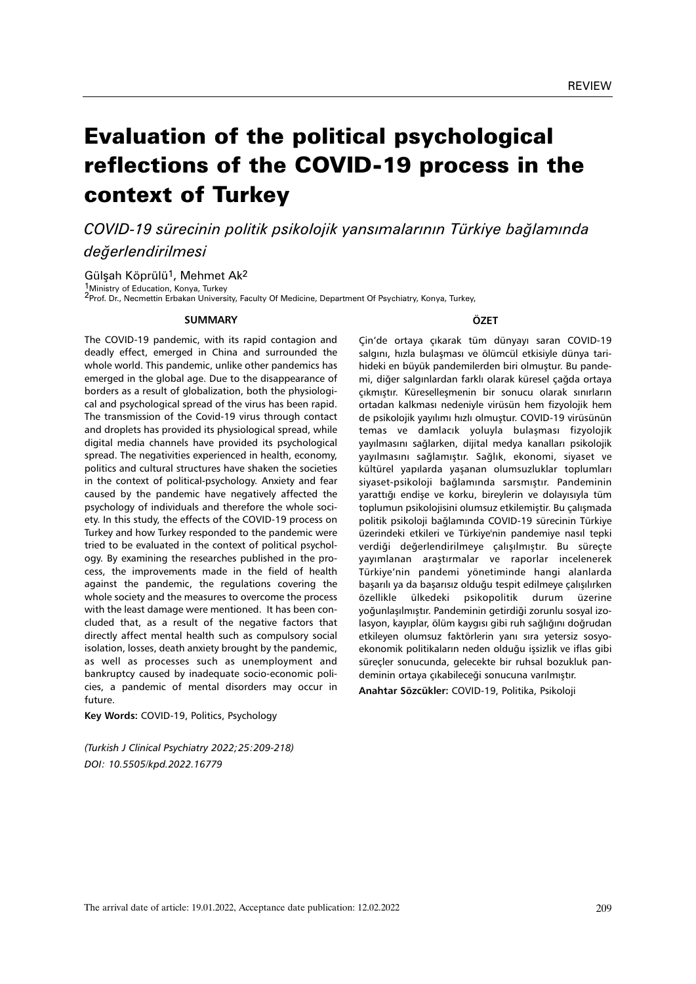209

# Evaluation of the political psychological reflections of the COVID-19 process in the context of Turkey

*COVID-19 sürecinin politik psikolojik yansımalarının Türkiye bağlamında değerlendirilmesi*

Gülşah Köprülü<sup>1</sup>, Mehmet Ak<sup>2</sup>

1Ministry of Education, Konya, Turkey 2Prof. Dr., Necmettin Erbakan University, Faculty Of Medicine, Department Of Psychiatry, Konya, Turkey,

#### **SUMMARY**

The COVID-19 pandemic, with its rapid contagion and deadly effect, emerged in China and surrounded the whole world. This pandemic, unlike other pandemics has emerged in the global age. Due to the disappearance of borders as a result of globalization, both the physiological and psychological spread of the virus has been rapid. The transmission of the Covid-19 virus through contact and droplets has provided its physiological spread, while digital media channels have provided its psychological spread. The negativities experienced in health, economy, politics and cultural structures have shaken the societies in the context of political-psychology. Anxiety and fear caused by the pandemic have negatively affected the psychology of individuals and therefore the whole society. In this study, the effects of the COVID-19 process on Turkey and how Turkey responded to the pandemic were tried to be evaluated in the context of political psychology. By examining the researches published in the process, the improvements made in the field of health against the pandemic, the regulations covering the whole society and the measures to overcome the process with the least damage were mentioned. It has been concluded that, as a result of the negative factors that directly affect mental health such as compulsory social isolation, losses, death anxiety brought by the pandemic, as well as processes such as unemployment and bankruptcy caused by inadequate socio-economic policies, a pandemic of mental disorders may occur in future.

**Key Words:** COVID-19, Politics, Psychology

*(Turkish J Clinical Psychiatry 2022;25:209-218) DOI: 10.5505/kpd.2022.16779*

The arrival date of article: 19.01.2022, Acceptance date publication: 12.02.2022

**ÖZET**

Çin'de ortaya çıkarak tüm dünyayı saran COVID-19 salgını, hızla bulaşması ve ölümcül etkisiyle dünya tarihideki en büyük pandemilerden biri olmuştur. Bu pandemi, diğer salgınlardan farklı olarak küresel çağda ortaya çıkmıştır. Küreselleşmenin bir sonucu olarak sınırların ortadan kalkması nedeniyle virüsün hem fizyolojik hem de psikolojik yayılımı hızlı olmuştur. COVID-19 virüsünün temas ve damlacık yoluyla bulaşması fizyolojik yayılmasını sağlarken, dijital medya kanalları psikolojik yayılmasını sağlamıştır. Sağlık, ekonomi, siyaset ve kültürel yapılarda yaşanan olumsuzluklar toplumları siyaset-psikoloji bağlamında sarsmıştır. Pandeminin yarattığı endişe ve korku, bireylerin ve dolayısıyla tüm toplumun psikolojisini olumsuz etkilemiştir. Bu çalışmada politik psikoloji bağlamında COVID-19 sürecinin Türkiye üzerindeki etkileri ve Türkiye'nin pandemiye nasıl tepki verdiği değerlendirilmeye çalışılmıştır. Bu süreçte yayımlanan araştırmalar ve raporlar incelenerek Türkiye'nin pandemi yönetiminde hangi alanlarda başarılı ya da başarısız olduğu tespit edilmeye çalışılırken özellikle ülkedeki psikopolitik durum üzerine yoğunlaşılmıştır. Pandeminin getirdiği zorunlu sosyal izolasyon, kayıplar, ölüm kaygısı gibi ruh sağlığını doğrudan etkileyen olumsuz faktörlerin yanı sıra yetersiz sosyoekonomik politikaların neden olduğu işsizlik ve iflas gibi süreçler sonucunda, gelecekte bir ruhsal bozukluk pandeminin ortaya çıkabileceği sonucuna varılmıştır.

**Anahtar Sözcükler:** COVID-19, Politika, Psikoloji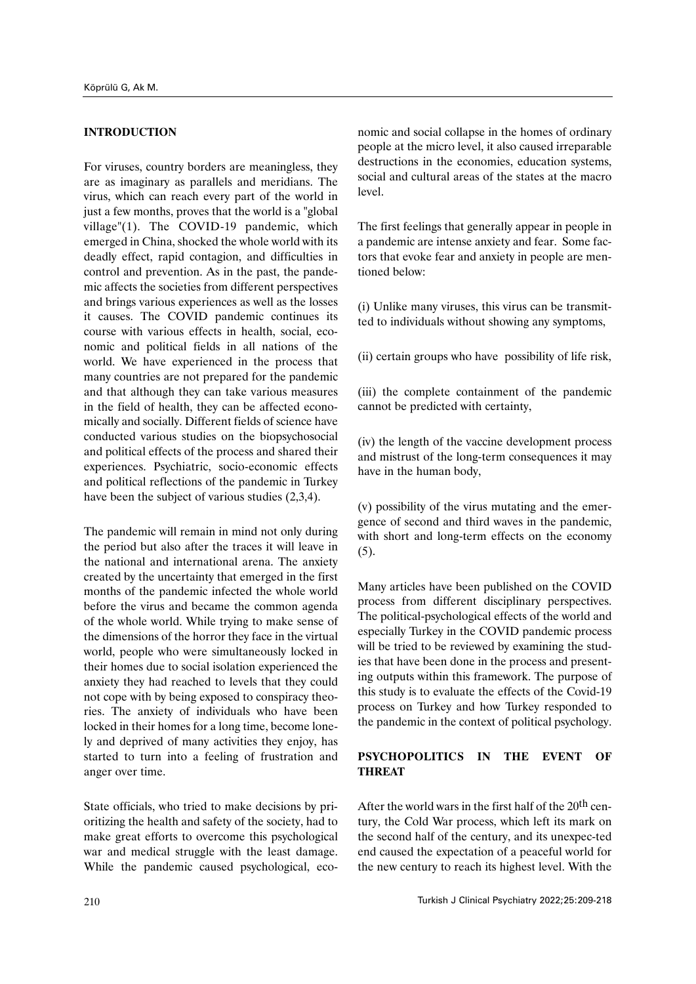### **INTRODUCTION**

For viruses, country borders are meaningless, they are as imaginary as parallels and meridians. The virus, which can reach every part of the world in just a few months, proves that the world is a "global" village"(1). The COVID-19 pandemic, which emerged in China, shocked the whole world with its deadly effect, rapid contagion, and difficulties in control and prevention. As in the past, the pandemic affects the societies from different perspectives and brings various experiences as well as the losses it causes. The COVID pandemic continues its course with various effects in health, social, economic and political fields in all nations of the world. We have experienced in the process that many countries are not prepared for the pandemic and that although they can take various measures in the field of health, they can be affected economically and socially. Different fields of science have conducted various studies on the biopsychosocial and political effects of the process and shared their experiences. Psychiatric, socio-economic effects and political reflections of the pandemic in Turkey have been the subject of various studies (2,3,4).

The pandemic will remain in mind not only during the period but also after the traces it will leave in the national and international arena. The anxiety created by the uncertainty that emerged in the first months of the pandemic infected the whole world before the virus and became the common agenda of the whole world. While trying to make sense of the dimensions of the horror they face in the virtual world, people who were simultaneously locked in their homes due to social isolation experienced the anxiety they had reached to levels that they could not cope with by being exposed to conspiracy theories. The anxiety of individuals who have been locked in their homes for a long time, become lonely and deprived of many activities they enjoy, has started to turn into a feeling of frustration and anger over time.

State officials, who tried to make decisions by prioritizing the health and safety of the society, had to make great efforts to overcome this psychological war and medical struggle with the least damage. While the pandemic caused psychological, economic and social collapse in the homes of ordinary people at the micro level, it also caused irreparable destructions in the economies, education systems, social and cultural areas of the states at the macro level.

The first feelings that generally appear in people in a pandemic are intense anxiety and fear. Some factors that evoke fear and anxiety in people are mentioned below:

(i) Unlike many viruses, this virus can be transmitted to individuals without showing any symptoms,

(ii) certain groups who have possibility of life risk,

(iii) the complete containment of the pandemic cannot be predicted with certainty,

(iv) the length of the vaccine development process and mistrust of the long-term consequences it may have in the human body,

(v) possibility of the virus mutating and the emergence of second and third waves in the pandemic, with short and long-term effects on the economy (5).

Many articles have been published on the COVID process from different disciplinary perspectives. The political-psychological effects of the world and especially Turkey in the COVID pandemic process will be tried to be reviewed by examining the studies that have been done in the process and presenting outputs within this framework. The purpose of this study is to evaluate the effects of the Covid-19 process on Turkey and how Turkey responded to the pandemic in the context of political psychology.

# **PSYCHOPOLITICS IN THE EVENT OF THREAT**

After the world wars in the first half of the 20<sup>th</sup> century, the Cold War process, which left its mark on the second half of the century, and its unexpec-ted end caused the expectation of a peaceful world for the new century to reach its highest level. With the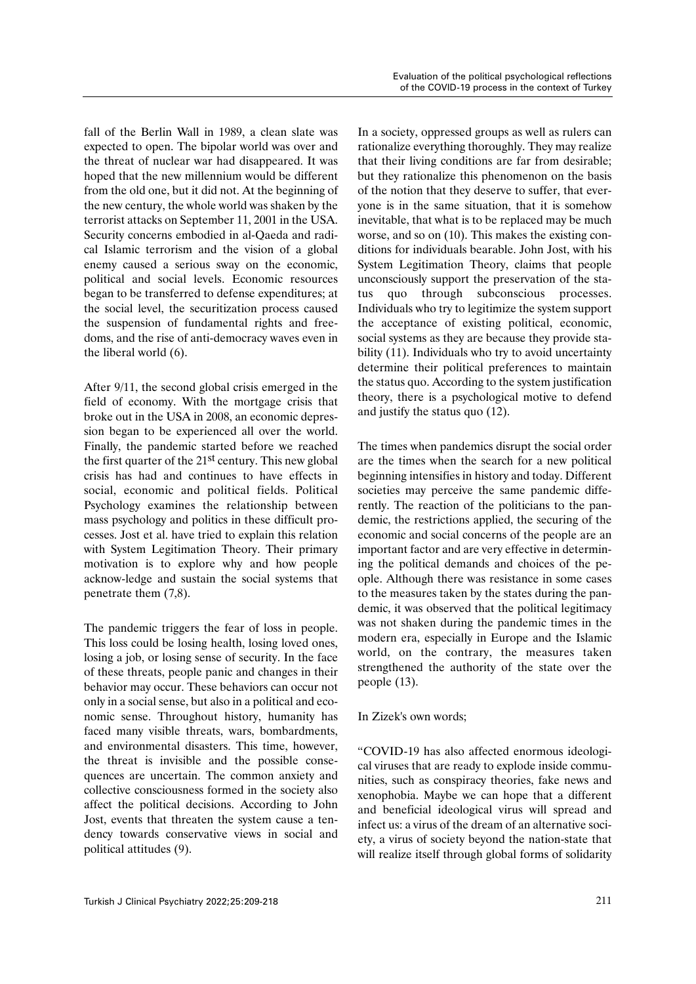fall of the Berlin Wall in 1989, a clean slate was expected to open. The bipolar world was over and the threat of nuclear war had disappeared. It was hoped that the new millennium would be different from the old one, but it did not. At the beginning of the new century, the whole world was shaken by the terrorist attacks on September 11, 2001 in the USA. Security concerns embodied in al-Qaeda and radical Islamic terrorism and the vision of a global enemy caused a serious sway on the economic, political and social levels. Economic resources began to be transferred to defense expenditures; at the social level, the securitization process caused the suspension of fundamental rights and freedoms, and the rise of anti-democracy waves even in the liberal world (6).

After 9/11, the second global crisis emerged in the field of economy. With the mortgage crisis that broke out in the USA in 2008, an economic depression began to be experienced all over the world. Finally, the pandemic started before we reached the first quarter of the 21st century. This new global crisis has had and continues to have effects in social, economic and political fields. Political Psychology examines the relationship between mass psychology and politics in these difficult processes. Jost et al. have tried to explain this relation with System Legitimation Theory. Their primary motivation is to explore why and how people acknow-ledge and sustain the social systems that penetrate them (7,8).

The pandemic triggers the fear of loss in people. This loss could be losing health, losing loved ones, losing a job, or losing sense of security. In the face of these threats, people panic and changes in their behavior may occur. These behaviors can occur not only in a social sense, but also in a political and economic sense. Throughout history, humanity has faced many visible threats, wars, bombardments, and environmental disasters. This time, however, the threat is invisible and the possible consequences are uncertain. The common anxiety and collective consciousness formed in the society also affect the political decisions. According to John Jost, events that threaten the system cause a tendency towards conservative views in social and political attitudes (9).

In a society, oppressed groups as well as rulers can rationalize everything thoroughly. They may realize that their living conditions are far from desirable; but they rationalize this phenomenon on the basis of the notion that they deserve to suffer, that everyone is in the same situation, that it is somehow inevitable, that what is to be replaced may be much worse, and so on (10). This makes the existing conditions for individuals bearable. John Jost, with his System Legitimation Theory, claims that people unconsciously support the preservation of the status quo through subconscious processes. Individuals who try to legitimize the system support the acceptance of existing political, economic, social systems as they are because they provide stability (11). Individuals who try to avoid uncertainty determine their political preferences to maintain the status quo. According to the system justification theory, there is a psychological motive to defend and justify the status quo (12).

The times when pandemics disrupt the social order are the times when the search for a new political beginning intensifies in history and today. Different societies may perceive the same pandemic differently. The reaction of the politicians to the pandemic, the restrictions applied, the securing of the economic and social concerns of the people are an important factor and are very effective in determining the political demands and choices of the people. Although there was resistance in some cases to the measures taken by the states during the pandemic, it was observed that the political legitimacy was not shaken during the pandemic times in the modern era, especially in Europe and the Islamic world, on the contrary, the measures taken strengthened the authority of the state over the people (13).

# In Zizek's own words;

"COVID-19 has also affected enormous ideological viruses that are ready to explode inside communities, such as conspiracy theories, fake news and xenophobia. Maybe we can hope that a different and beneficial ideological virus will spread and infect us: a virus of the dream of an alternative society, a virus of society beyond the nation-state that will realize itself through global forms of solidarity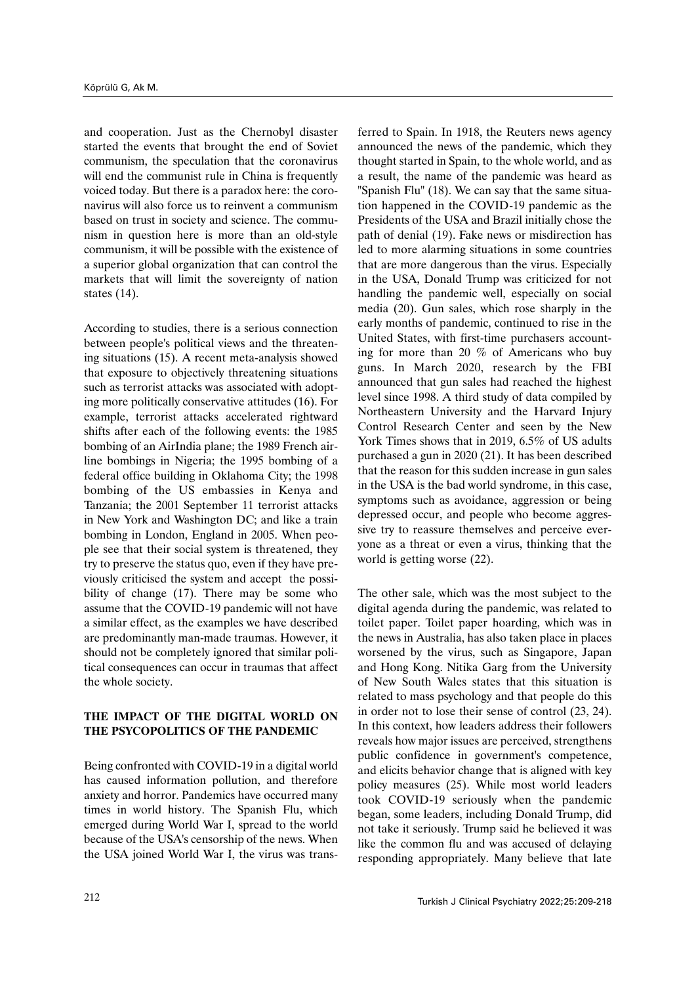and cooperation. Just as the Chernobyl disaster started the events that brought the end of Soviet communism, the speculation that the coronavirus will end the communist rule in China is frequently voiced today. But there is a paradox here: the coronavirus will also force us to reinvent a communism based on trust in society and science. The communism in question here is more than an old-style communism, it will be possible with the existence of a superior global organization that can control the markets that will limit the sovereignty of nation states (14).

According to studies, there is a serious connection between people's political views and the threatening situations (15). A recent meta-analysis showed that exposure to objectively threatening situations such as terrorist attacks was associated with adopting more politically conservative attitudes (16). For example, terrorist attacks accelerated rightward shifts after each of the following events: the 1985 bombing of an AirIndia plane; the 1989 French airline bombings in Nigeria; the 1995 bombing of a federal office building in Oklahoma City; the 1998 bombing of the US embassies in Kenya and Tanzania; the 2001 September 11 terrorist attacks in New York and Washington DC; and like a train bombing in London, England in 2005. When people see that their social system is threatened, they try to preserve the status quo, even if they have previously criticised the system and accept the possibility of change (17). There may be some who assume that the COVID-19 pandemic will not have a similar effect, as the examples we have described are predominantly man-made traumas. However, it should not be completely ignored that similar political consequences can occur in traumas that affect the whole society.

# **THE IMPACT OF THE DIGITAL WORLD ON THE PSYCOPOLITICS OF THE PANDEMIC**

Being confronted with COVID-19 in a digital world has caused information pollution, and therefore anxiety and horror. Pandemics have occurred many times in world history. The Spanish Flu, which emerged during World War I, spread to the world because of the USA's censorship of the news. When the USA joined World War I, the virus was transferred to Spain. In 1918, the Reuters news agency announced the news of the pandemic, which they thought started in Spain, to the whole world, and as a result, the name of the pandemic was heard as "Spanish Flu" (18). We can say that the same situation happened in the COVID-19 pandemic as the Presidents of the USA and Brazil initially chose the path of denial (19). Fake news or misdirection has led to more alarming situations in some countries that are more dangerous than the virus. Especially in the USA, Donald Trump was criticized for not handling the pandemic well, especially on social media (20). Gun sales, which rose sharply in the early months of pandemic, continued to rise in the United States, with first-time purchasers accounting for more than 20 % of Americans who buy guns. In March 2020, research by the FBI announced that gun sales had reached the highest level since 1998. A third study of data compiled by Northeastern University and the Harvard Injury Control Research Center and seen by the New York Times shows that in 2019, 6.5% of US adults purchased a gun in 2020 (21). It has been described that the reason for this sudden increase in gun sales in the USA is the bad world syndrome, in this case, symptoms such as avoidance, aggression or being depressed occur, and people who become aggressive try to reassure themselves and perceive everyone as a threat or even a virus, thinking that the world is getting worse (22).

The other sale, which was the most subject to the digital agenda during the pandemic, was related to toilet paper. Toilet paper hoarding, which was in the news in Australia, has also taken place in places worsened by the virus, such as Singapore, Japan and Hong Kong. Nitika Garg from the University of New South Wales states that this situation is related to mass psychology and that people do this in order not to lose their sense of control (23, 24). In this context, how leaders address their followers reveals how major issues are perceived, strengthens public confidence in government's competence, and elicits behavior change that is aligned with key policy measures (25). While most world leaders took COVID-19 seriously when the pandemic began, some leaders, including Donald Trump, did not take it seriously. Trump said he believed it was like the common flu and was accused of delaying responding appropriately. Many believe that late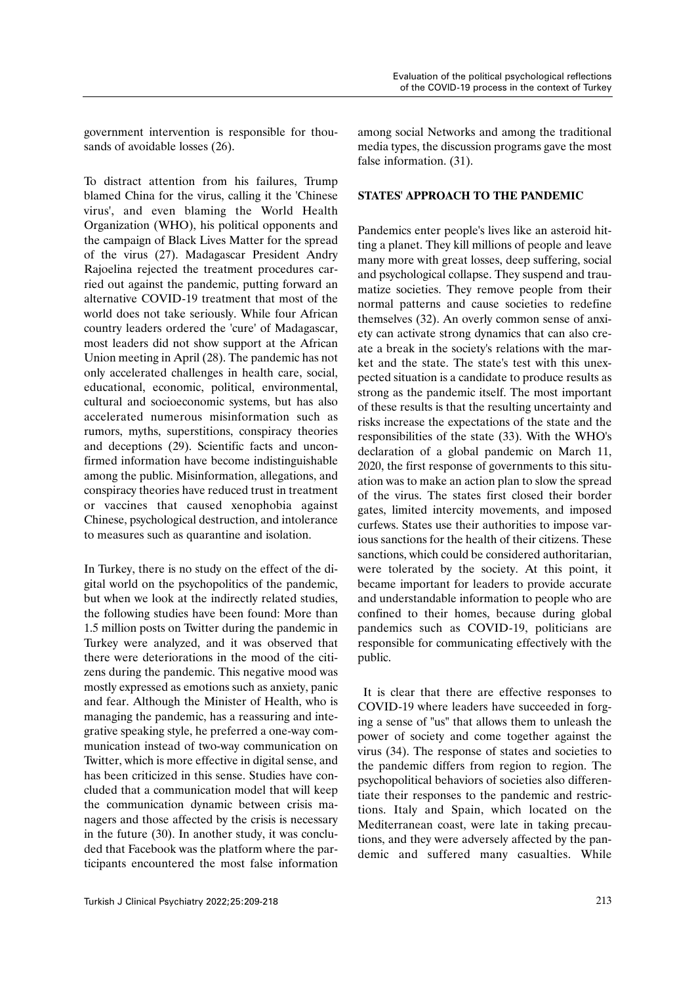government intervention is responsible for thousands of avoidable losses (26).

To distract attention from his failures, Trump blamed China for the virus, calling it the 'Chinese virus', and even blaming the World Health Organization (WHO), his political opponents and the campaign of Black Lives Matter for the spread of the virus (27). Madagascar President Andry Rajoelina rejected the treatment procedures carried out against the pandemic, putting forward an alternative COVID-19 treatment that most of the world does not take seriously. While four African country leaders ordered the 'cure' of Madagascar, most leaders did not show support at the African Union meeting in April (28). The pandemic has not only accelerated challenges in health care, social, educational, economic, political, environmental, cultural and socioeconomic systems, but has also accelerated numerous misinformation such as rumors, myths, superstitions, conspiracy theories and deceptions (29). Scientific facts and unconfirmed information have become indistinguishable among the public. Misinformation, allegations, and conspiracy theories have reduced trust in treatment or vaccines that caused xenophobia against Chinese, psychological destruction, and intolerance to measures such as quarantine and isolation.

In Turkey, there is no study on the effect of the digital world on the psychopolitics of the pandemic, but when we look at the indirectly related studies, the following studies have been found: More than 1.5 million posts on Twitter during the pandemic in Turkey were analyzed, and it was observed that there were deteriorations in the mood of the citizens during the pandemic. This negative mood was mostly expressed as emotions such as anxiety, panic and fear. Although the Minister of Health, who is managing the pandemic, has a reassuring and integrative speaking style, he preferred a one-way communication instead of two-way communication on Twitter, which is more effective in digital sense, and has been criticized in this sense. Studies have concluded that a communication model that will keep the communication dynamic between crisis managers and those affected by the crisis is necessary in the future (30). In another study, it was concluded that Facebook was the platform where the participants encountered the most false information

# **STATES' APPROACH TO THE PANDEMIC**

Pandemics enter people's lives like an asteroid hitting a planet. They kill millions of people and leave many more with great losses, deep suffering, social and psychological collapse. They suspend and traumatize societies. They remove people from their normal patterns and cause societies to redefine themselves (32). An overly common sense of anxiety can activate strong dynamics that can also create a break in the society's relations with the market and the state. The state's test with this unexpected situation is a candidate to produce results as strong as the pandemic itself. The most important of these results is that the resulting uncertainty and risks increase the expectations of the state and the responsibilities of the state (33). With the WHO's declaration of a global pandemic on March 11, 2020, the first response of governments to this situation was to make an action plan to slow the spread of the virus. The states first closed their border gates, limited intercity movements, and imposed curfews. States use their authorities to impose various sanctions for the health of their citizens. These sanctions, which could be considered authoritarian, were tolerated by the society. At this point, it became important for leaders to provide accurate and understandable information to people who are confined to their homes, because during global pandemics such as COVID-19, politicians are responsible for communicating effectively with the public.

 It is clear that there are effective responses to COVID-19 where leaders have succeeded in forging a sense of "us" that allows them to unleash the power of society and come together against the virus (34). The response of states and societies to the pandemic differs from region to region. The psychopolitical behaviors of societies also differentiate their responses to the pandemic and restrictions. Italy and Spain, which located on the Mediterranean coast, were late in taking precautions, and they were adversely affected by the pandemic and suffered many casualties. While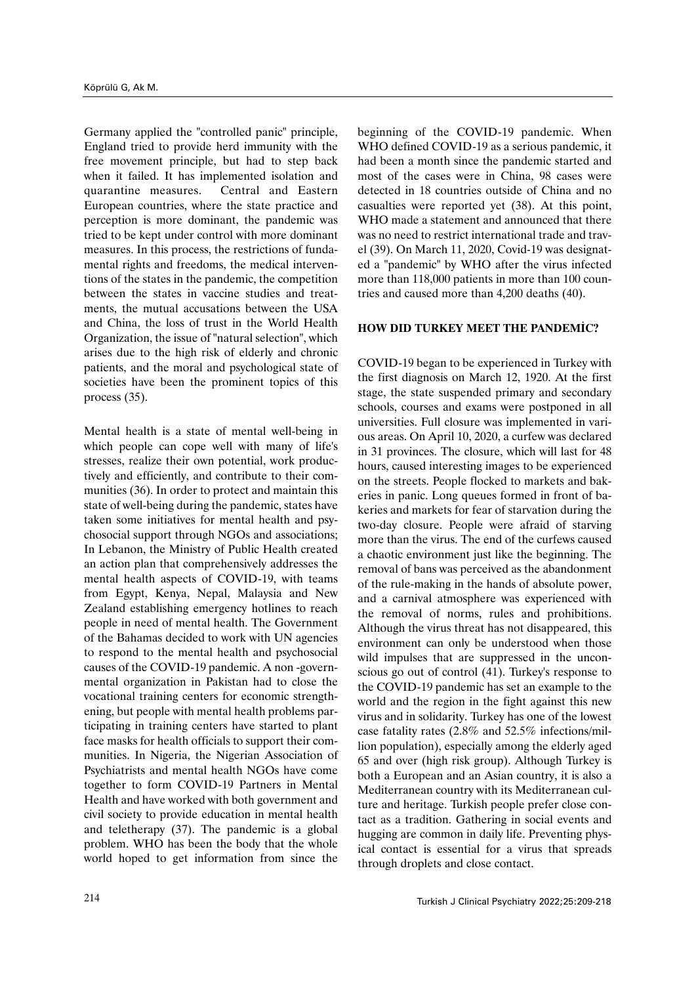Germany applied the "controlled panic" principle, England tried to provide herd immunity with the free movement principle, but had to step back when it failed. It has implemented isolation and quarantine measures. Central and Eastern European countries, where the state practice and perception is more dominant, the pandemic was tried to be kept under control with more dominant measures. In this process, the restrictions of fundamental rights and freedoms, the medical interventions of the states in the pandemic, the competition between the states in vaccine studies and treatments, the mutual accusations between the USA and China, the loss of trust in the World Health Organization, the issue of "natural selection", which arises due to the high risk of elderly and chronic patients, and the moral and psychological state of societies have been the prominent topics of this process (35).

Mental health is a state of mental well-being in which people can cope well with many of life's stresses, realize their own potential, work productively and efficiently, and contribute to their communities (36). In order to protect and maintain this state of well-being during the pandemic, states have taken some initiatives for mental health and psychosocial support through NGOs and associations; In Lebanon, the Ministry of Public Health created an action plan that comprehensively addresses the mental health aspects of COVID-19, with teams from Egypt, Kenya, Nepal, Malaysia and New Zealand establishing emergency hotlines to reach people in need of mental health. The Government of the Bahamas decided to work with UN agencies to respond to the mental health and psychosocial causes of the COVID-19 pandemic. A non -governmental organization in Pakistan had to close the vocational training centers for economic strengthening, but people with mental health problems participating in training centers have started to plant face masks for health officials to support their communities. In Nigeria, the Nigerian Association of Psychiatrists and mental health NGOs have come together to form COVID-19 Partners in Mental Health and have worked with both government and civil society to provide education in mental health and teletherapy (37). The pandemic is a global problem. WHO has been the body that the whole world hoped to get information from since the

beginning of the COVID-19 pandemic. When WHO defined COVID-19 as a serious pandemic, it had been a month since the pandemic started and most of the cases were in China, 98 cases were detected in 18 countries outside of China and no casualties were reported yet (38). At this point, WHO made a statement and announced that there was no need to restrict international trade and travel (39). On March 11, 2020, Covid-19 was designated a "pandemic" by WHO after the virus infected more than 118,000 patients in more than 100 countries and caused more than 4,200 deaths (40).

#### **HOW DID TURKEY MEET THE PANDEMİC?**

COVID-19 began to be experienced in Turkey with the first diagnosis on March 12, 1920. At the first stage, the state suspended primary and secondary schools, courses and exams were postponed in all universities. Full closure was implemented in various areas. On April 10, 2020, a curfew was declared in 31 provinces. The closure, which will last for 48 hours, caused interesting images to be experienced on the streets. People flocked to markets and bakeries in panic. Long queues formed in front of bakeries and markets for fear of starvation during the two-day closure. People were afraid of starving more than the virus. The end of the curfews caused a chaotic environment just like the beginning. The removal of bans was perceived as the abandonment of the rule-making in the hands of absolute power, and a carnival atmosphere was experienced with the removal of norms, rules and prohibitions. Although the virus threat has not disappeared, this environment can only be understood when those wild impulses that are suppressed in the unconscious go out of control (41). Turkey's response to the COVID-19 pandemic has set an example to the world and the region in the fight against this new virus and in solidarity. Turkey has one of the lowest case fatality rates (2.8% and 52.5% infections/million population), especially among the elderly aged 65 and over (high risk group). Although Turkey is both a European and an Asian country, it is also a Mediterranean country with its Mediterranean culture and heritage. Turkish people prefer close contact as a tradition. Gathering in social events and hugging are common in daily life. Preventing physical contact is essential for a virus that spreads through droplets and close contact.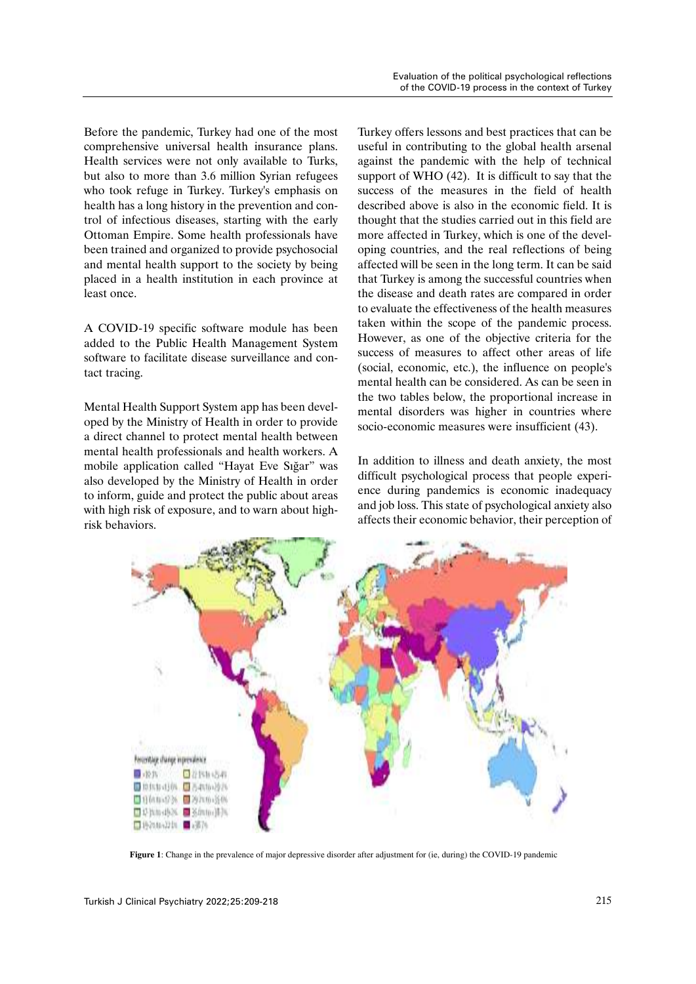Before the pandemic, Turkey had one of the most comprehensive universal health insurance plans. Health services were not only available to Turks, but also to more than 3.6 million Syrian refugees who took refuge in Turkey. Turkey's emphasis on health has a long history in the prevention and control of infectious diseases, starting with the early Ottoman Empire. Some health professionals have been trained and organized to provide psychosocial and mental health support to the society by being placed in a health institution in each province at least once.

A COVID-19 specific software module has been added to the Public Health Management System software to facilitate disease surveillance and contact tracing.

Mental Health Support System app has been developed by the Ministry of Health in order to provide a direct channel to protect mental health between mental health professionals and health workers. A mobile application called "Hayat Eve Sığar" was also developed by the Ministry of Health in order to inform, guide and protect the public about areas with high risk of exposure, and to warn about highrisk behaviors.

Turkey offers lessons and best practices that can be useful in contributing to the global health arsenal against the pandemic with the help of technical support of WHO (42). It is difficult to say that the success of the measures in the field of health described above is also in the economic field. It is thought that the studies carried out in this field are more affected in Turkey, which is one of the developing countries, and the real reflections of being affected will be seen in the long term. It can be said that Turkey is among the successful countries when the disease and death rates are compared in order to evaluate the effectiveness of the health measures taken within the scope of the pandemic process. However, as one of the objective criteria for the success of measures to affect other areas of life (social, economic, etc.), the influence on people's mental health can be considered. As can be seen in the two tables below, the proportional increase in mental disorders was higher in countries where socio-economic measures were insufficient (43).

In addition to illness and death anxiety, the most difficult psychological process that people experience during pandemics is economic inadequacy and job loss. This state of psychological anxiety also affects their economic behavior, their perception of



**Figure 1**: Change in the prevalence of major depressive disorder after adjustment for (ie, during) the COVID-19 pandemic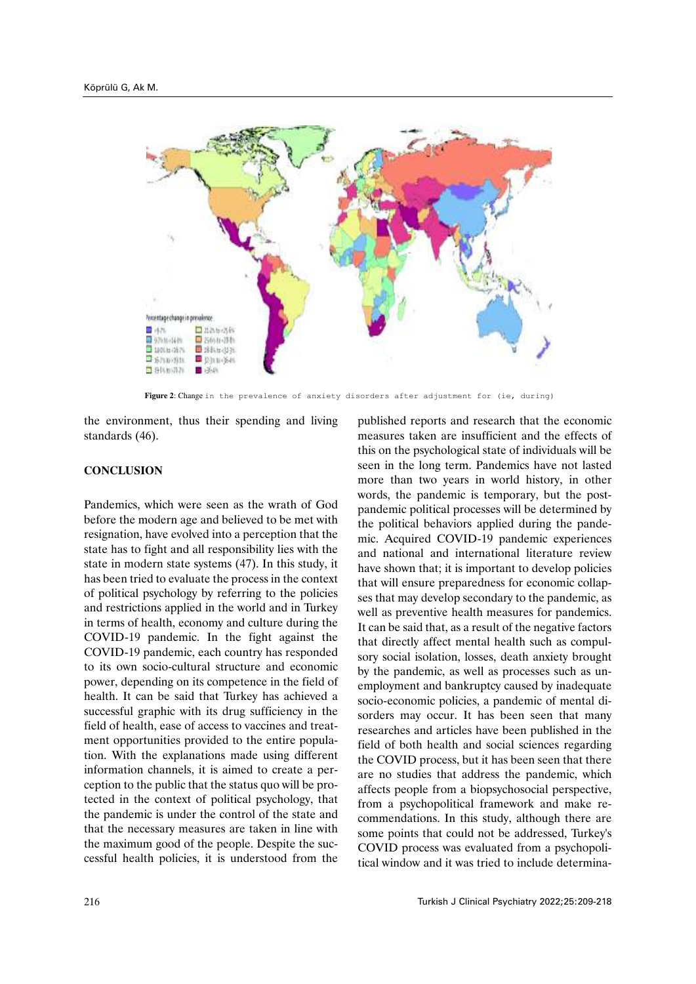

Figure 2: Change in the prevalence of anxiety disorders after adjustment for (ie, during)

the environment, thus their spending and living standards (46).

### **CONCLUSION**

Pandemics, which were seen as the wrath of God before the modern age and believed to be met with resignation, have evolved into a perception that the state has to fight and all responsibility lies with the state in modern state systems (47). In this study, it has been tried to evaluate the process in the context of political psychology by referring to the policies and restrictions applied in the world and in Turkey in terms of health, economy and culture during the COVID-19 pandemic. In the fight against the COVID-19 pandemic, each country has responded to its own socio-cultural structure and economic power, depending on its competence in the field of health. It can be said that Turkey has achieved a successful graphic with its drug sufficiency in the field of health, ease of access to vaccines and treatment opportunities provided to the entire population. With the explanations made using different information channels, it is aimed to create a perception to the public that the status quo will be protected in the context of political psychology, that the pandemic is under the control of the state and that the necessary measures are taken in line with the maximum good of the people. Despite the successful health policies, it is understood from the published reports and research that the economic measures taken are insufficient and the effects of this on the psychological state of individuals will be seen in the long term. Pandemics have not lasted more than two years in world history, in other words, the pandemic is temporary, but the postpandemic political processes will be determined by the political behaviors applied during the pandemic. Acquired COVID-19 pandemic experiences and national and international literature review have shown that; it is important to develop policies that will ensure preparedness for economic collapses that may develop secondary to the pandemic, as well as preventive health measures for pandemics. It can be said that, as a result of the negative factors that directly affect mental health such as compulsory social isolation, losses, death anxiety brought by the pandemic, as well as processes such as unemployment and bankruptcy caused by inadequate socio-economic policies, a pandemic of mental disorders may occur. It has been seen that many researches and articles have been published in the field of both health and social sciences regarding the COVID process, but it has been seen that there are no studies that address the pandemic, which affects people from a biopsychosocial perspective, from a psychopolitical framework and make recommendations. In this study, although there are some points that could not be addressed, Turkey's COVID process was evaluated from a psychopolitical window and it was tried to include determina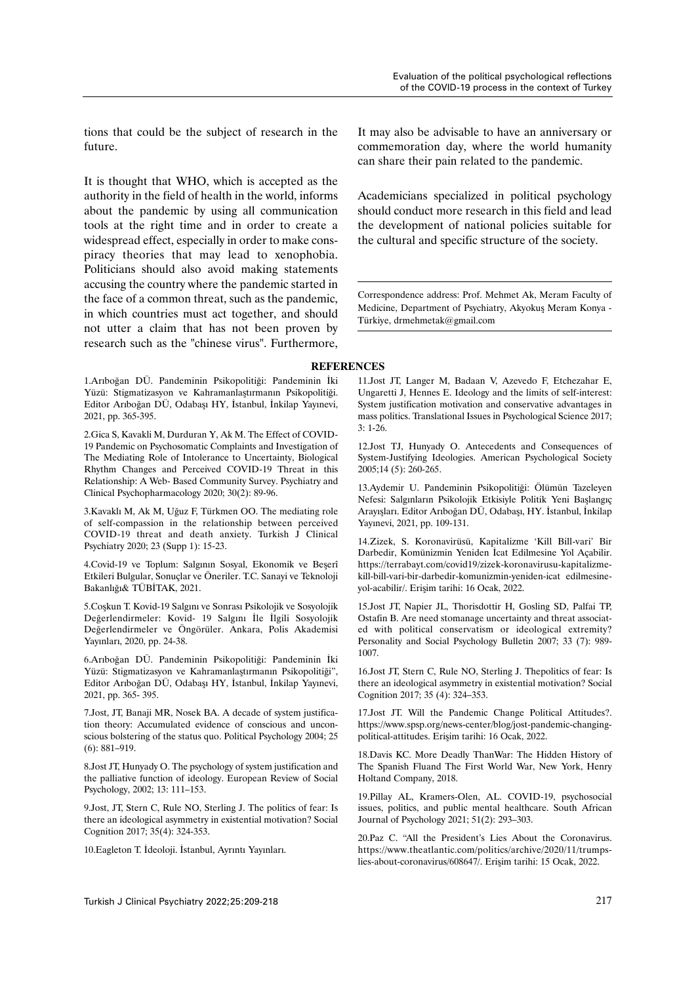tions that could be the subject of research in the future.

It is thought that WHO, which is accepted as the authority in the field of health in the world, informs about the pandemic by using all communication tools at the right time and in order to create a widespread effect, especially in order to make conspiracy theories that may lead to xenophobia. Politicians should also avoid making statements accusing the country where the pandemic started in the face of a common threat, such as the pandemic, in which countries must act together, and should not utter a claim that has not been proven by research such as the "chinese virus". Furthermore,

1.Arıboğan DÜ. Pandeminin Psikopolitiği: Pandeminin İki Yüzü: Stigmatizasyon ve Kahramanlaştırmanın Psikopolitiği. Editor Arıboğan DÜ, Odabaşı HY, İstanbul, İnkilap Yayınevi, 2021, pp. 365-395.

2.Gica S, Kavakli M, Durduran Y, Ak M. The Effect of COVID-19 Pandemic on Psychosomatic Complaints and Investigation of The Mediating Role of Intolerance to Uncertainty, Biological Rhythm Changes and Perceived COVID-19 Threat in this Relationship: A Web- Based Community Survey. Psychiatry and Clinical Psychopharmacology 2020; 30(2): 89-96.

3.Kavaklı M, Ak M, Uğuz F, Türkmen OO. The mediating role of self-compassion in the relationship between perceived COVID-19 threat and death anxiety. Turkish J Clinical Psychiatry 2020; 23 (Supp 1): 15-23.

4.Covid-19 ve Toplum: Salgının Sosyal, Ekonomik ve Beşerî Etkileri Bulgular, Sonuçlar ve Öneriler. T.C. Sanayi ve Teknoloji Bakanlığı& TÜBİTAK, 2021.

5.Coşkun T. Kovid-19 Salgını ve Sonrası Psikolojik ve Sosyolojik Değerlendirmeler: Kovid- 19 Salgını İle İlgili Sosyolojik Değerlendirmeler ve Öngörüler. Ankara, Polis Akademisi Yayınları, 2020, pp. 24-38.

6.Arıboğan DÜ. Pandeminin Psikopolitiği: Pandeminin İki Yüzü: Stigmatizasyon ve Kahramanlaştırmanın Psikopolitiği", Editor Arıboğan DÜ, Odabaşı HY, İstanbul, İnkilap Yayınevi, 2021, pp. 365- 395.

7.Jost, JT, Banaji MR, Nosek BA. A decade of system justification theory: Accumulated evidence of conscious and unconscious bolstering of the status quo. Political Psychology 2004; 25 (6): 881–919.

8.Jost JT, Hunyady O. The psychology of system justification and the palliative function of ideology. European Review of Social Psychology, 2002; 13: 111–153.

9.Jost, JT, Stern C, Rule NO, Sterling J. The politics of fear: Is there an ideological asymmetry in existential motivation? Social Cognition 2017; 35(4): 324-353.

10.Eagleton T. İdeoloji. İstanbul, Ayrıntı Yayınları.

It may also be advisable to have an anniversary or commemoration day, where the world humanity can share their pain related to the pandemic.

Academicians specialized in political psychology should conduct more research in this field and lead the development of national policies suitable for the cultural and specific structure of the society.

Correspondence address: Prof. Mehmet Ak, Meram Faculty of Medicine, Department of Psychiatry, Akyokuş Meram Konya - Türkiye, drmehmetak@gmail.com

#### **REFERENCES**

11.Jost JT, Langer M, Badaan V, Azevedo F, Etchezahar E, Ungaretti J, Hennes E. Ideology and the limits of self-interest: System justification motivation and conservative advantages in mass politics. Translational Issues in Psychological Science 2017; 3: 1-26.

12.Jost TJ, Hunyady O. Antecedents and Consequences of System-Justifying Ideologies. American Psychological Society 2005;14 (5): 260-265.

13.Aydemir U. Pandeminin Psikopolitiği: Ölümün Tazeleyen Nefesi: Salgınların Psikolojik Etkisiyle Politik Yeni Başlangıç Arayışları. Editor Arıboğan DÜ, Odabaşı, HY. İstanbul, İnkilap Yayınevi, 2021, pp. 109-131.

14.Zizek, S. Koronavirüsü, Kapitalizme 'Kill Bill-vari' Bir Darbedir, Komünizmin Yeniden İcat Edilmesine Yol Açabilir. https://terrabayt.com/covid19/zizek-koronavirusu-kapitalizmekill-bill-vari-bir-darbedir-komunizmin-yeniden-icat edilmesineyol-acabilir/. Erişim tarihi: 16 Ocak, 2022.

15.Jost JT, Napier JL, Thorisdottir H, Gosling SD, Palfai TP, Ostafin B. Are need stomanage uncertainty and threat associated with political conservatism or ideological extremity? Personality and Social Psychology Bulletin 2007; 33 (7): 989- 1007.

16.Jost JT, Stern C, Rule NO, Sterling J. Thepolitics of fear: Is there an ideological asymmetry in existential motivation? Social Cognition 2017; 35 (4): 324–353.

17.Jost JT. Will the Pandemic Change Political Attitudes?. https://www.spsp.org/news-center/blog/jost-pandemic-changingpolitical-attitudes. Erişim tarihi: 16 Ocak, 2022.

18.Davis KC. More Deadly ThanWar: The Hidden History of The Spanish Fluand The First World War, New York, Henry Holtand Company, 2018.

19.Pillay AL, Kramers-Olen, AL. COVID-19, psychosocial issues, politics, and public mental healthcare. South African Journal of Psychology 2021; 51(2): 293–303.

20.Paz C. "All the President's Lies About the Coronavirus. https://www.theatlantic.com/politics/archive/2020/11/trumpslies-about-coronavirus/608647/. Erişim tarihi: 15 Ocak, 2022.